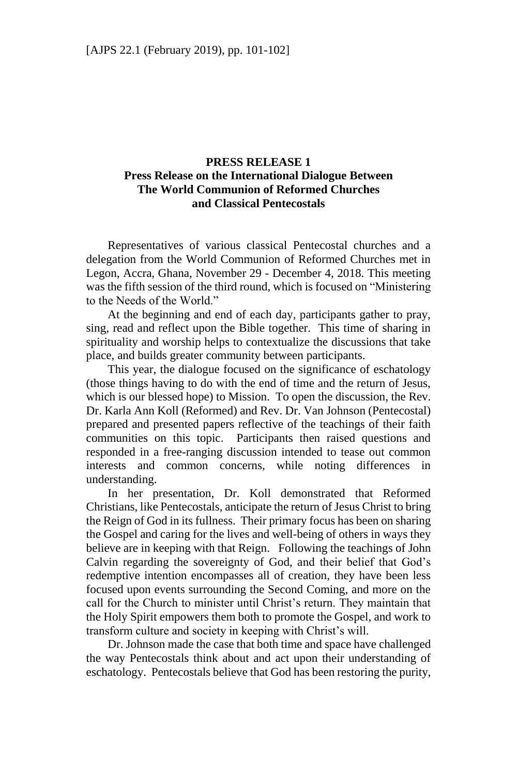## **PRESS RELEASE 1 Press Release on the International Dialogue Between The World Communion of Reformed Churches and Classical Pentecostals**

Representatives of various classical Pentecostal churches and a delegation from the World Communion of Reformed Churches met in Legon, Accra, Ghana, November 29 - December 4, 2018. This meeting was the fifth session of the third round, which is focused on "Ministering to the Needs of the World."

At the beginning and end of each day, participants gather to pray, sing, read and reflect upon the Bible together. This time of sharing in spirituality and worship helps to contextualize the discussions that take place, and builds greater community between participants.

This year, the dialogue focused on the significance of eschatology (those things having to do with the end of time and the return of Jesus, which is our blessed hope) to Mission. To open the discussion, the Rev. Dr. Karla Ann Koll (Reformed) and Rev. Dr. Van Johnson (Pentecostal) prepared and presented papers reflective of the teachings of their faith communities on this topic. Participants then raised questions and responded in a free-ranging discussion intended to tease out common interests and common concerns, while noting differences understanding.

In her presentation, Dr. Koll demonstrated that Reformed Christians, like Pentecostals, anticipate the return of Jesus Christ to bring the Reign of God in its fullness. Their primary focus has been on sharing the Gospel and caring for the lives and well-being of others in ways they believe are in keeping with that Reign. Following the teachings of John Calvin regarding the sovereignty of God, and their belief that God's redemptive intention encompasses all of creation, they have been less focused upon events surrounding the Second Coming, and more on the call for the Church to minister until Christ's return. They maintain that the Holy Spirit empowers them both to promote the Gospel, and work to transform culture and society in keeping with Christ's will.

Dr. Johnson made the case that both time and space have challenged the way Pentecostals think about and act upon their understanding of eschatology. Pentecostals believe that God has been restoring the purity,